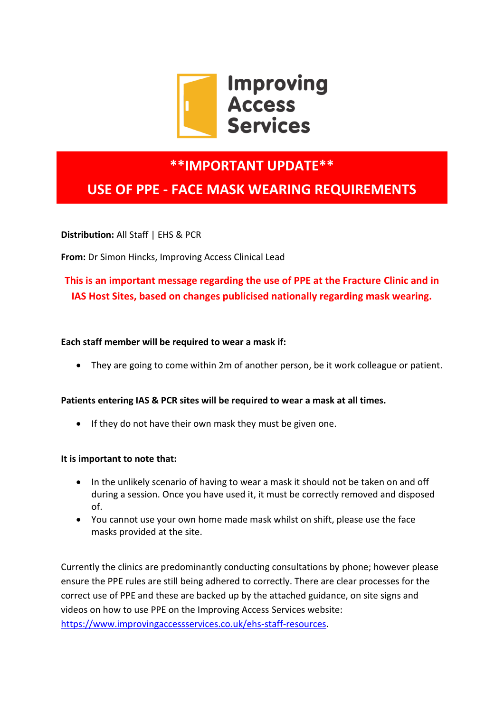

## **\*\*IMPORTANT UPDATE\*\***

# **USE OF PPE - FACE MASK WEARING REQUIREMENTS**

**Distribution:** All Staff | EHS & PCR

**From:** Dr Simon Hincks, Improving Access Clinical Lead

### **This is an important message regarding the use of PPE at the Fracture Clinic and in IAS Host Sites, based on changes publicised nationally regarding mask wearing.**

#### **Each staff member will be required to wear a mask if:**

They are going to come within 2m of another person, be it work colleague or patient.

#### **Patients entering IAS & PCR sites will be required to wear a mask at all times.**

• If they do not have their own mask they must be given one.

#### **It is important to note that:**

- In the unlikely scenario of having to wear a mask it should not be taken on and off during a session. Once you have used it, it must be correctly removed and disposed of.
- You cannot use your own home made mask whilst on shift, please use the face masks provided at the site.

Currently the clinics are predominantly conducting consultations by phone; however please ensure the PPE rules are still being adhered to correctly. There are clear processes for the correct use of PPE and these are backed up by the attached guidance, on site signs and videos on how to use PPE on the Improving Access Services website: [https://www.improvingaccessservices.co.uk/ehs-staff-resources.](https://www.improvingaccessservices.co.uk/ehs-staff-resources)